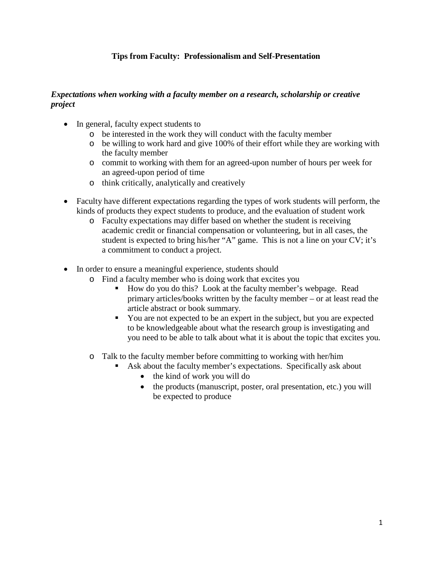# **Tips from Faculty: Professionalism and Self-Presentation**

### *Expectations when working with a faculty member on a research, scholarship or creative project*

- In general, faculty expect students to
	- o be interested in the work they will conduct with the faculty member
	- o be willing to work hard and give 100% of their effort while they are working with the faculty member
	- o commit to working with them for an agreed-upon number of hours per week for an agreed-upon period of time
	- o think critically, analytically and creatively
- Faculty have different expectations regarding the types of work students will perform, the kinds of products they expect students to produce, and the evaluation of student work
	- o Faculty expectations may differ based on whether the student is receiving academic credit or financial compensation or volunteering, but in all cases, the student is expected to bring his/her "A" game. This is not a line on your CV; it's a commitment to conduct a project.
- In order to ensure a meaningful experience, students should
	- o Find a faculty member who is doing work that excites you
		- How do you do this? Look at the faculty member's webpage. Read primary articles/books written by the faculty member – or at least read the article abstract or book summary.
		- You are not expected to be an expert in the subject, but you are expected to be knowledgeable about what the research group is investigating and you need to be able to talk about what it is about the topic that excites you.
	- o Talk to the faculty member before committing to working with her/him
		- Ask about the faculty member's expectations. Specifically ask about
			- the kind of work you will do
			- the products (manuscript, poster, oral presentation, etc.) you will be expected to produce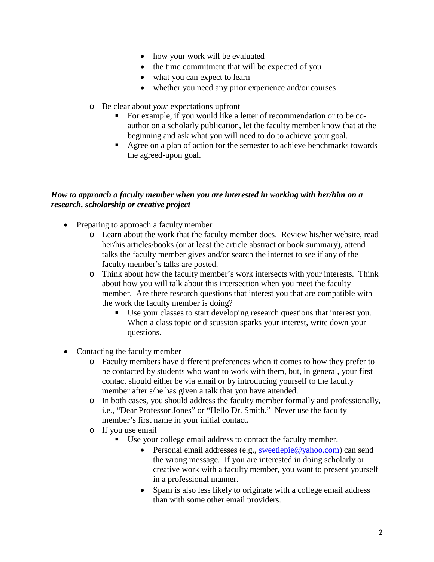- how your work will be evaluated
- the time commitment that will be expected of you
- what you can expect to learn
- whether you need any prior experience and/or courses
- o Be clear about *your* expectations upfront
	- For example, if you would like a letter of recommendation or to be coauthor on a scholarly publication, let the faculty member know that at the beginning and ask what you will need to do to achieve your goal.
	- Agree on a plan of action for the semester to achieve benchmarks towards the agreed-upon goal.

# *How to approach a faculty member when you are interested in working with her/him on a research, scholarship or creative project*

- Preparing to approach a faculty member
	- o Learn about the work that the faculty member does. Review his/her website, read her/his articles/books (or at least the article abstract or book summary), attend talks the faculty member gives and/or search the internet to see if any of the faculty member's talks are posted.
	- o Think about how the faculty member's work intersects with your interests. Think about how you will talk about this intersection when you meet the faculty member. Are there research questions that interest you that are compatible with the work the faculty member is doing?
		- Use your classes to start developing research questions that interest you. When a class topic or discussion sparks your interest, write down your questions.
- Contacting the faculty member
	- o Faculty members have different preferences when it comes to how they prefer to be contacted by students who want to work with them, but, in general, your first contact should either be via email or by introducing yourself to the faculty member after s/he has given a talk that you have attended.
	- o In both cases, you should address the faculty member formally and professionally, i.e., "Dear Professor Jones" or "Hello Dr. Smith." Never use the faculty member's first name in your initial contact.
	- o If you use email
		- Use your college email address to contact the faculty member.
			- Personal email addresses (e.g., [sweetiepie@yahoo.com\)](mailto:sweetiepie@yahoo.com) can send the wrong message. If you are interested in doing scholarly or creative work with a faculty member, you want to present yourself in a professional manner.
			- Spam is also less likely to originate with a college email address than with some other email providers.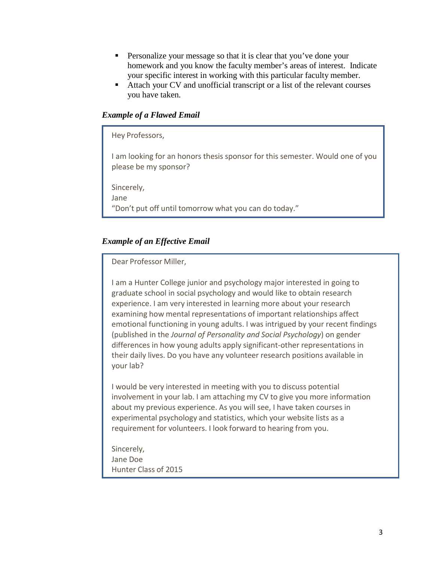- Personalize your message so that it is clear that you've done your homework and you know the faculty member's areas of interest. Indicate your specific interest in working with this particular faculty member.
- Attach your CV and unofficial transcript or a list of the relevant courses you have taken.

## *Example of a Flawed Email*

| Hey Professors,                                                                                        |
|--------------------------------------------------------------------------------------------------------|
| I am looking for an honors thesis sponsor for this semester. Would one of you<br>please be my sponsor? |
| Sincerely,<br>Jane<br>"Don't put off until tomorrow what you can do today."                            |
|                                                                                                        |

### *Example of an Effective Email*

#### Dear Professor Miller,

I am a Hunter College junior and psychology major interested in going to graduate school in social psychology and would like to obtain research experience. I am very interested in learning more about your research examining how mental representations of important relationships affect emotional functioning in young adults. I was intrigued by your recent findings (published in the *Journal of Personality and Social Psychology*) on gender differences in how young adults apply significant-other representations in their daily lives. Do you have any volunteer research positions available in your lab?

I would be very interested in meeting with you to discuss potential involvement in your lab. I am attaching my CV to give you more information about my previous experience. As you will see, I have taken courses in experimental psychology and statistics, which your website lists as a requirement for volunteers. I look forward to hearing from you.

Sincerely, Jane Doe Hunter Class of 2015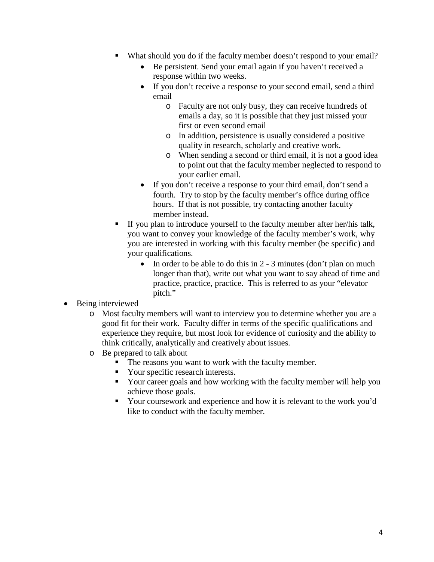- What should you do if the faculty member doesn't respond to your email?
	- Be persistent. Send your email again if you haven't received a response within two weeks.
	- If you don't receive a response to your second email, send a third email
		- o Faculty are not only busy, they can receive hundreds of emails a day, so it is possible that they just missed your first or even second email
		- o In addition, persistence is usually considered a positive quality in research, scholarly and creative work.
		- o When sending a second or third email, it is not a good idea to point out that the faculty member neglected to respond to your earlier email.
	- If you don't receive a response to your third email, don't send a fourth. Try to stop by the faculty member's office during office hours. If that is not possible, try contacting another faculty member instead.
- If you plan to introduce yourself to the faculty member after her/his talk, you want to convey your knowledge of the faculty member's work, why you are interested in working with this faculty member (be specific) and your qualifications.
	- In order to be able to do this in  $2 3$  minutes (don't plan on much longer than that), write out what you want to say ahead of time and practice, practice, practice. This is referred to as your "elevator pitch."
- Being interviewed
	- o Most faculty members will want to interview you to determine whether you are a good fit for their work. Faculty differ in terms of the specific qualifications and experience they require, but most look for evidence of curiosity and the ability to think critically, analytically and creatively about issues.
	- o Be prepared to talk about
		- The reasons you want to work with the faculty member.
		- Your specific research interests.
		- Your career goals and how working with the faculty member will help you achieve those goals.
		- Your coursework and experience and how it is relevant to the work you'd like to conduct with the faculty member.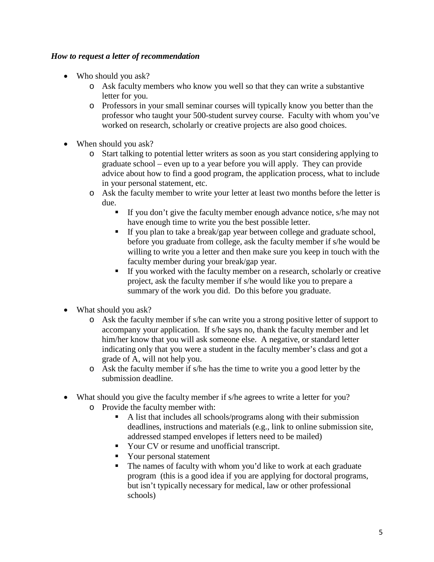# *How to request a letter of recommendation*

- Who should you ask?
	- o Ask faculty members who know you well so that they can write a substantive letter for you.
	- o Professors in your small seminar courses will typically know you better than the professor who taught your 500-student survey course. Faculty with whom you've worked on research, scholarly or creative projects are also good choices.
- When should you ask?
	- o Start talking to potential letter writers as soon as you start considering applying to graduate school – even up to a year before you will apply. They can provide advice about how to find a good program, the application process, what to include in your personal statement, etc.
	- o Ask the faculty member to write your letter at least two months before the letter is due.
		- If you don't give the faculty member enough advance notice, s/he may not have enough time to write you the best possible letter.
		- If you plan to take a break/gap year between college and graduate school, before you graduate from college, ask the faculty member if s/he would be willing to write you a letter and then make sure you keep in touch with the faculty member during your break/gap year.
		- If you worked with the faculty member on a research, scholarly or creative project, ask the faculty member if s/he would like you to prepare a summary of the work you did. Do this before you graduate.
- What should you ask?
	- o Ask the faculty member if s/he can write you a strong positive letter of support to accompany your application. If s/he says no, thank the faculty member and let him/her know that you will ask someone else. A negative, or standard letter indicating only that you were a student in the faculty member's class and got a grade of A, will not help you.
	- o Ask the faculty member if s/he has the time to write you a good letter by the submission deadline.
- What should you give the faculty member if s/he agrees to write a letter for you?
	- $\circ$  Provide the faculty member with:<br>A list that includes all school A list that includes all schools/programs along with their submission deadlines, instructions and materials (e.g., link to online submission site, addressed stamped envelopes if letters need to be mailed)
		- Your CV or resume and unofficial transcript.
		- Your personal statement
		- The names of faculty with whom you'd like to work at each graduate program (this is a good idea if you are applying for doctoral programs, but isn't typically necessary for medical, law or other professional schools)